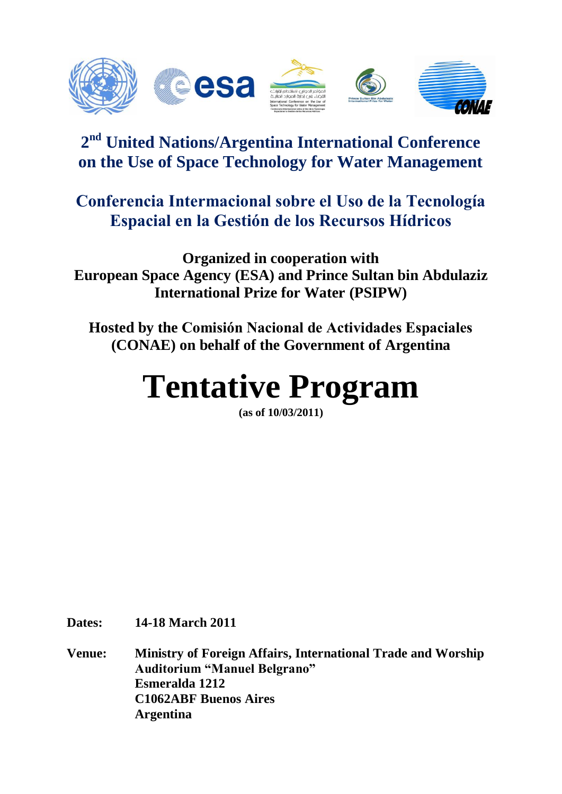

# **2 nd United Nations/Argentina International Conference on the Use of Space Technology for Water Management**

# **Conferencia Intermacional sobre el Uso de la Tecnología Espacial en la Gestión de los Recursos Hídricos**

**Organized in cooperation with European Space Agency (ESA) and Prince Sultan bin Abdulaziz International Prize for Water (PSIPW)**

**Hosted by the Comisión Nacional de Actividades Espaciales (CONAE) on behalf of the Government of Argentina**

# **Tentative Program**

**(as of 10/03/2011)**

**Dates: 14-18 March 2011**

**Venue: Ministry of Foreign Affairs, International Trade and Worship Auditorium "Manuel Belgrano" Esmeralda 1212 C1062ABF Buenos Aires Argentina**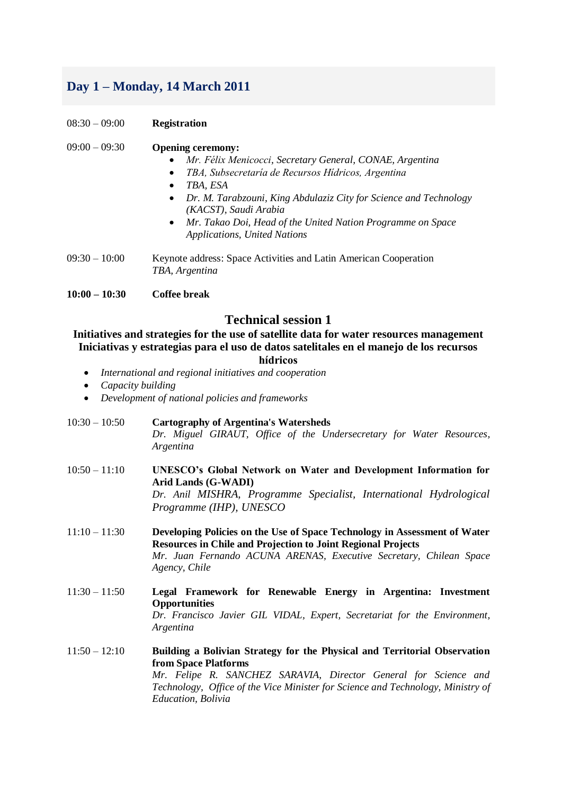# **Day 1 – Monday, 14 March 2011**

08:30 – 09:00 **Registration**

#### 09:00 – 09:30 **Opening ceremony:**

- *Mr. Félix Menicocci, Secretary General, CONAE, Argentina*
- *TBA, Subsecretaría de Recursos Hídricos, Argentina*
- *TBA, ESA*
- *Dr. M. Tarabzouni, King Abdulaziz City for Science and Technology (KACST), Saudi Arabia*
- *Mr. Takao Doi, Head of the United Nation Programme on Space Applications, United Nations*
- 09:30 10:00 Keynote address: Space Activities and Latin American Cooperation *TBA, Argentina*

**10:00 – 10:30 Coffee break**

#### **Technical session 1**

**Initiatives and strategies for the use of satellite data for water resources management Iniciativas y estrategias para el uso de datos satelitales en el manejo de los recursos** 

- **hídricos**
- *International and regional initiatives and cooperation*
- *Capacity building*
- *Development of national policies and frameworks*
- 10:30 10:50 **Cartography of Argentina's Watersheds** *Dr. Miguel GIRAUT, Office of the Undersecretary for Water Resources, Argentina*
- 10:50 11:10 **UNESCO's Global Network on Water and Development Information for Arid Lands (G-WADI)** *Dr. Anil MISHRA, Programme Specialist, International Hydrological Programme (IHP), UNESCO*
- 11:10 11:30 **Developing Policies on the Use of Space Technology in Assessment of Water Resources in Chile and Projection to Joint Regional Projects** *Mr. Juan Fernando ACUNA ARENAS, Executive Secretary, Chilean Space Agency, Chile*
- 11:30 11:50 **Legal Framework for Renewable Energy in Argentina: Investment Opportunities** *Dr. Francisco Javier GIL VIDAL, Expert, Secretariat for the Environment, Argentina*
- 11:50 12:10 **Building a Bolivian Strategy for the Physical and Territorial Observation from Space Platforms** *Mr. Felipe R. SANCHEZ SARAVIA, Director General for Science and Technology, Office of the Vice Minister for Science and Technology, Ministry of Education, Bolivia*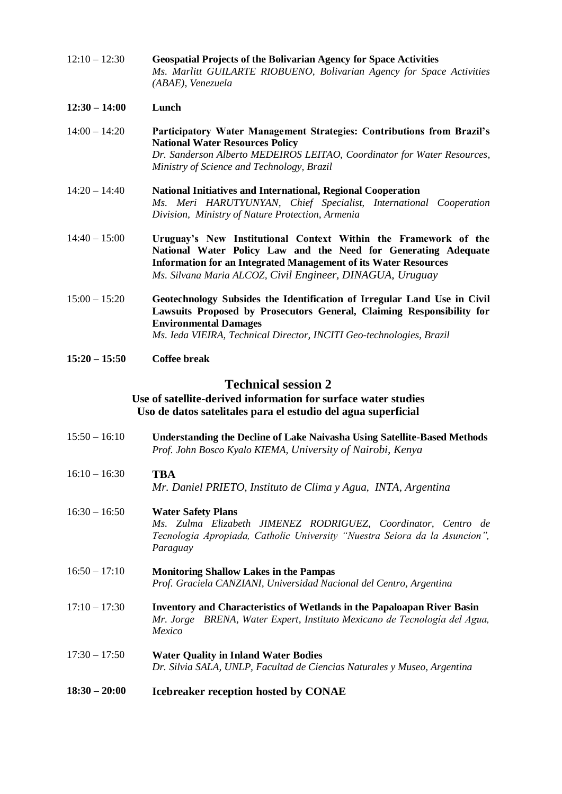12:10 – 12:30 **Geospatial Projects of the Bolivarian Agency for Space Activities** *Ms. Marlitt GUILARTE RIOBUENO, Bolivarian Agency for Space Activities (ABAE), Venezuela*

#### **12:30 – 14:00 Lunch**

- 14:00 14:20 **Participatory Water Management Strategies: Contributions from Brazil's National Water Resources Policy** *Dr. Sanderson Alberto MEDEIROS LEITAO, Coordinator for Water Resources, Ministry of Science and Technology, Brazil*
- 14:20 14:40 **National Initiatives and International, Regional Cooperation** *Ms. Meri HARUTYUNYAN, Chief Specialist, International Cooperation Division, Ministry of Nature Protection, Armenia*
- 14:40 15:00 **Uruguay's New Institutional Context Within the Framework of the National Water Policy Law and the Need for Generating Adequate Information for an Integrated Management of its Water Resources** *Ms. Silvana Maria ALCOZ, Civil Engineer, DINAGUA, Uruguay*
- 15:00 15:20 **Geotechnology Subsides the Identification of Irregular Land Use in Civil Lawsuits Proposed by Prosecutors General, Claiming Responsibility for Environmental Damages** *Ms. Ieda VIEIRA, Technical Director, INCITI Geo-technologies, Brazil*
- **15:20 – 15:50 Coffee break**

#### **Technical session 2**

#### **Use of satellite-derived information for surface water studies Uso de datos satelitales para el estudio del agua superficial**

- 15:50 16:10 **Understanding the Decline of Lake Naivasha Using Satellite-Based Methods** *Prof. John Bosco Kyalo KIEMA, University of Nairobi, Kenya*
- 16:10 16:30 **TBA** *Mr. Daniel PRIETO, Instituto de Clima y Agua, INTA, Argentina*
- 16:30 16:50 **Water Safety Plans** *Ms. Zulma Elizabeth JIMENEZ RODRIGUEZ, Coordinator, Centro de Tecnologia Apropiada, Catholic University "Nuestra Seiora da la Asuncion", Paraguay*
- 16:50 17:10 **Monitoring Shallow Lakes in the Pampas** *Prof. Graciela CANZIANI, Universidad Nacional del Centro, Argentina*
- 17:10 17:30 **Inventory and Characteristics of Wetlands in the Papaloapan River Basin** *Mr. Jorge BRENA, Water Expert, Instituto Mexicano de Tecnología del Agua, Mexico*

#### 17:30 – 17:50 **Water Quality in Inland Water Bodies** *Dr. Silvia SALA, UNLP, Facultad de Ciencias Naturales y Museo, Argentina*

**18:30 – 20:00 Icebreaker reception hosted by CONAE**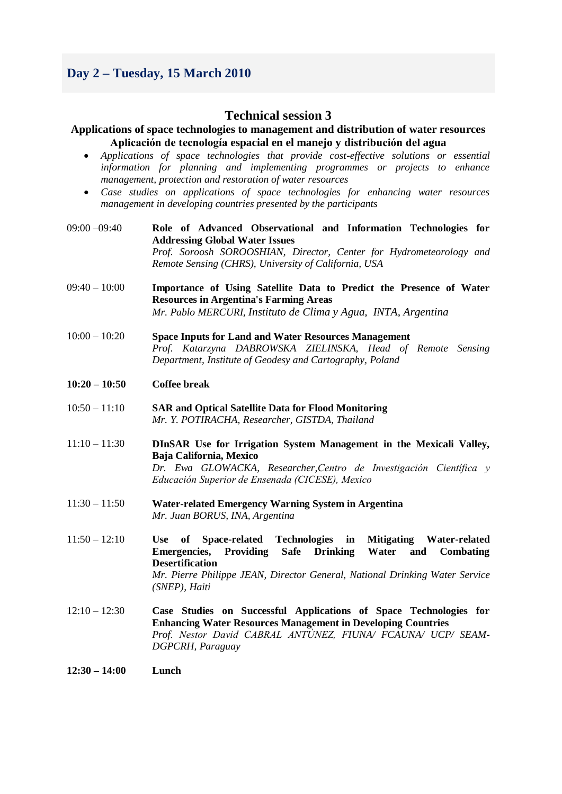# **Day 2 – Tuesday, 15 March 2010**

#### **Technical session 3**

#### **Applications of space technologies to management and distribution of water resources Aplicación de tecnología espacial en el manejo y distribución del agua**

- *Applications of space technologies that provide cost-effective solutions or essential information for planning and implementing programmes or projects to enhance management, protection and restoration of water resources*
- *Case studies on applications of space technologies for enhancing water resources management in developing countries presented by the participants*

| 09:00 -09:40    | Role of Advanced Observational and Information Technologies for<br><b>Addressing Global Water Issues</b><br>Prof. Soroosh SOROOSHIAN, Director, Center for Hydrometeorology and<br>Remote Sensing (CHRS), University of California, USA                                                                                                      |
|-----------------|----------------------------------------------------------------------------------------------------------------------------------------------------------------------------------------------------------------------------------------------------------------------------------------------------------------------------------------------|
| $09:40 - 10:00$ | Importance of Using Satellite Data to Predict the Presence of Water<br><b>Resources in Argentina's Farming Areas</b><br>Mr. Pablo MERCURI, Instituto de Clima y Agua, INTA, Argentina                                                                                                                                                        |
| $10:00 - 10:20$ | <b>Space Inputs for Land and Water Resources Management</b><br>Prof. Katarzyna DABROWSKA ZIELINSKA, Head of Remote Sensing<br>Department, Institute of Geodesy and Cartography, Poland                                                                                                                                                       |
| $10:20 - 10:50$ | <b>Coffee break</b>                                                                                                                                                                                                                                                                                                                          |
| $10:50 - 11:10$ | <b>SAR and Optical Satellite Data for Flood Monitoring</b><br>Mr. Y. POTIRACHA, Researcher, GISTDA, Thailand                                                                                                                                                                                                                                 |
| $11:10 - 11:30$ | DInSAR Use for Irrigation System Management in the Mexicali Valley,<br>Baja California, Mexico<br>Dr. Ewa GLOWACKA, Researcher, Centro de Investigación Científica y<br>Educación Superior de Ensenada (CICESE), Mexico                                                                                                                      |
| $11:30 - 11:50$ | <b>Water-related Emergency Warning System in Argentina</b><br>Mr. Juan BORUS, INA, Argentina                                                                                                                                                                                                                                                 |
| $11:50 - 12:10$ | <b>Technologies</b><br><b>Use</b><br>of<br><b>Space-related</b><br>in<br><b>Mitigating</b><br><b>Water-related</b><br><b>Emergencies, Providing</b><br><b>Drinking</b><br>Water<br><b>Safe</b><br>Combating<br>and<br><b>Desertification</b><br>Mr. Pierre Philippe JEAN, Director General, National Drinking Water Service<br>(SNEP), Haiti |
| $12:10 - 12:30$ | Case Studies on Successful Applications of Space Technologies for<br><b>Enhancing Water Resources Management in Developing Countries</b><br>Prof. Nestor David CABRAL ANTUNEZ, FIUNA/ FCAUNA/ UCP/ SEAM-<br>DGPCRH, Paraguay                                                                                                                 |
| $12:30 - 14:00$ | Lunch                                                                                                                                                                                                                                                                                                                                        |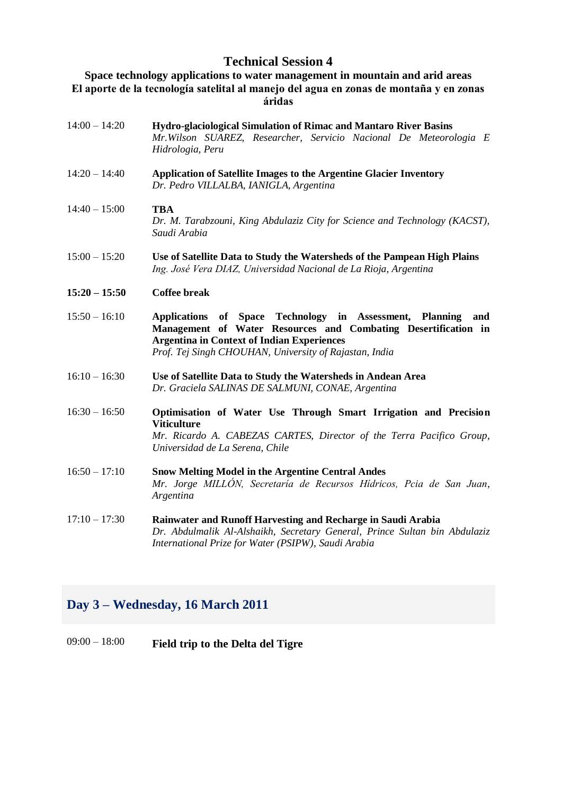## **Technical Session 4**

#### **Space technology applications to water management in mountain and arid areas El aporte de la tecnología satelital al manejo del agua en zonas de montaña y en zonas áridas**

14:00 – 14:20 **Hydro-glaciological Simulation of Rimac and Mantaro River Basins** *Mr.Wilson SUAREZ, Researcher, Servicio Nacional De Meteorologia E Hidrologia, Peru* 14:20 – 14:40 **Application of Satellite Images to the Argentine Glacier Inventory** *Dr. Pedro VILLALBA, IANIGLA, Argentina* 14:40 – 15:00 **TBA** *Dr. M. Tarabzouni, King Abdulaziz City for Science and Technology (KACST), Saudi Arabia* 15:00 – 15:20 **Use of Satellite Data to Study the Watersheds of the Pampean High Plains** *Ing. José Vera DIAZ, Universidad Nacional de La Rioja, Argentina* **15:20 – 15:50 Coffee break** 15:50 – 16:10 **Applications of Space Technology in Assessment, Planning and Management of Water Resources and Combating Desertification in Argentina in Context of Indian Experiences** *Prof. Tej Singh CHOUHAN, University of Rajastan, India* 16:10 – 16:30 **Use of Satellite Data to Study the Watersheds in Andean Area** *Dr. Graciela SALINAS DE SALMUNI, CONAE, Argentina* 16:30 – 16:50 **Optimisation of Water Use Through Smart Irrigation and Precision Viticulture** *Mr. Ricardo A. CABEZAS CARTES, Director of the Terra Pacifico Group, Universidad de La Serena, Chile* 16:50 – 17:10 **Snow Melting Model in the Argentine Central Andes** *Mr. Jorge MILLÓN, Secretaría de Recursos Hídricos, Pcia de San Juan, Argentina* 17:10 – 17:30 **Rainwater and Runoff Harvesting and Recharge in Saudi Arabia** *Dr. Abdulmalik Al-Alshaikh, Secretary General, Prince Sultan bin Abdulaziz International Prize for Water (PSIPW), Saudi Arabia*

### **Day 3 – Wednesday, 16 March 2011**

### 09:00 – 18:00 **Field trip to the Delta del Tigre**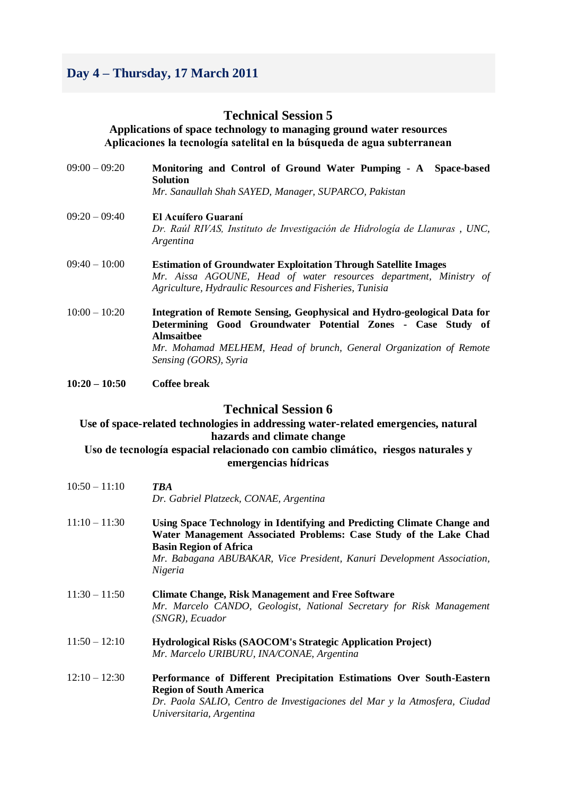# **Day 4 – Thursday, 17 March 2011**

#### **Technical Session 5**

**Applications of space technology to managing ground water resources Aplicaciones la tecnología satelital en la búsqueda de agua subterranean**

| $09:00 - 09:20$ | Monitoring and Control of Ground Water Pumping - A Space-based<br><b>Solution</b><br>Mr. Sanaullah Shah SAYED, Manager, SUPARCO, Pakistan                                                                                                                    |
|-----------------|--------------------------------------------------------------------------------------------------------------------------------------------------------------------------------------------------------------------------------------------------------------|
| $09:20 - 09:40$ | El Acuífero Guaraní<br>Dr. Raúl RIVAS, Instituto de Investigación de Hidrología de Llanuras, UNC,<br>Argentina                                                                                                                                               |
| $09:40 - 10:00$ | <b>Estimation of Groundwater Exploitation Through Satellite Images</b><br>Mr. Aissa AGOUNE, Head of water resources department, Ministry of<br>Agriculture, Hydraulic Resources and Fisheries, Tunisia                                                       |
| $10:00 - 10:20$ | Integration of Remote Sensing, Geophysical and Hydro-geological Data for<br>Determining Good Groundwater Potential Zones - Case Study of<br><b>Almsaithee</b><br>Mr. Mohamad MELHEM, Head of brunch, General Organization of Remote<br>Sensing (GORS), Syria |

**10:20 – 10:50 Coffee break**

#### **Technical Session 6**

#### **Use of space-related technologies in addressing water-related emergencies, natural hazards and climate change**

**Uso de tecnología espacial relacionado con cambio climático, riesgos naturales y emergencias hídricas**

| $10:50 - 11:10$ | TBA<br>Dr. Gabriel Platzeck, CONAE, Argentina                                                                                                                                                                                                                      |
|-----------------|--------------------------------------------------------------------------------------------------------------------------------------------------------------------------------------------------------------------------------------------------------------------|
| $11:10 - 11:30$ | Using Space Technology in Identifying and Predicting Climate Change and<br>Water Management Associated Problems: Case Study of the Lake Chad<br><b>Basin Region of Africa</b><br>Mr. Babagana ABUBAKAR, Vice President, Kanuri Development Association,<br>Nigeria |
| $11:30 - 11:50$ | <b>Climate Change, Risk Management and Free Software</b><br>Mr. Marcelo CANDO, Geologist, National Secretary for Risk Management<br>(SNGR), Ecuador                                                                                                                |
| $11:50 - 12:10$ | Hydrological Risks (SAOCOM's Strategic Application Project)<br>Mr. Marcelo URIBURU, INA/CONAE, Argentina                                                                                                                                                           |
| $12:10 - 12:30$ | Performance of Different Precipitation Estimations Over South-Eastern<br><b>Region of South America</b><br>Dr. Paola SALIO, Centro de Investigaciones del Mar y la Atmosfera, Ciudad<br>Universitaria, Argentina                                                   |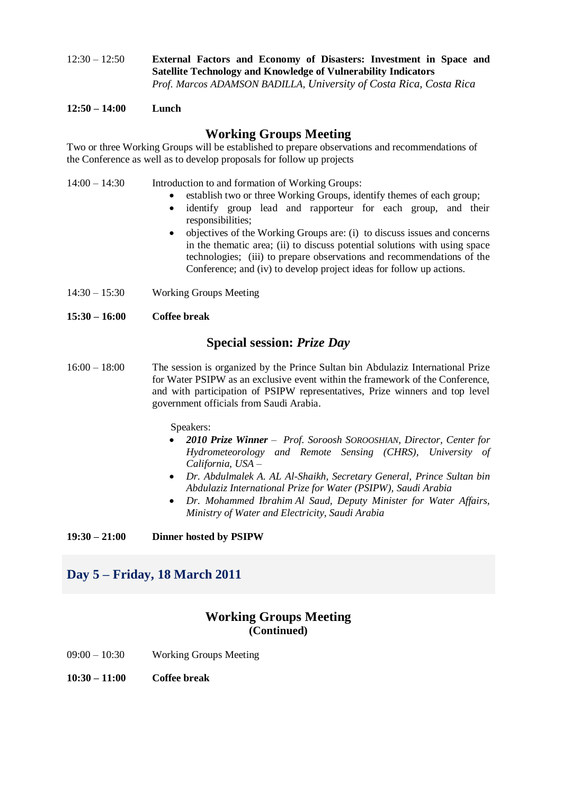12:30 – 12:50 **External Factors and Economy of Disasters: Investment in Space and Satellite Technology and Knowledge of Vulnerability Indicators** *Prof. Marcos ADAMSON BADILLA, University of Costa Rica, Costa Rica*

**12:50 – 14:00 Lunch**

## **Working Groups Meeting**

Two or three Working Groups will be established to prepare observations and recommendations of the Conference as well as to develop proposals for follow up projects

- 14:00 14:30 Introduction to and formation of Working Groups:
	- establish two or three Working Groups, identify themes of each group;
	- identify group lead and rapporteur for each group, and their responsibilities;
	- objectives of the Working Groups are: (i) to discuss issues and concerns in the thematic area; (ii) to discuss potential solutions with using space technologies; (iii) to prepare observations and recommendations of the Conference; and (iv) to develop project ideas for follow up actions.
- 14:30 15:30 Working Groups Meeting

#### **15:30 – 16:00 Coffee break**

#### **Special session:** *Prize Day*

16:00 – 18:00 The session is organized by the Prince Sultan bin Abdulaziz International Prize for Water PSIPW as an exclusive event within the framework of the Conference, and with participation of PSIPW representatives, Prize winners and top level government officials from Saudi Arabia.

Speakers:

- *2010 Prize Winner – Prof. Soroosh SOROOSHIAN, Director, Center for Hydrometeorology and Remote Sensing (CHRS), University of California, USA –*
- *Dr. Abdulmalek A. AL Al-Shaikh, Secretary General, Prince Sultan bin Abdulaziz International Prize for Water (PSIPW), Saudi Arabia*
- *Dr. Mohammed Ibrahim Al Saud, Deputy Minister for Water Affairs, Ministry of Water and Electricity, Saudi Arabia*

**19:30 – 21:00 Dinner hosted by PSIPW**

# **Day 5 – Friday, 18 March 2011**

#### **Working Groups Meeting (Continued)**

- 09:00 10:30 Working Groups Meeting
- **10:30 – 11:00 Coffee break**